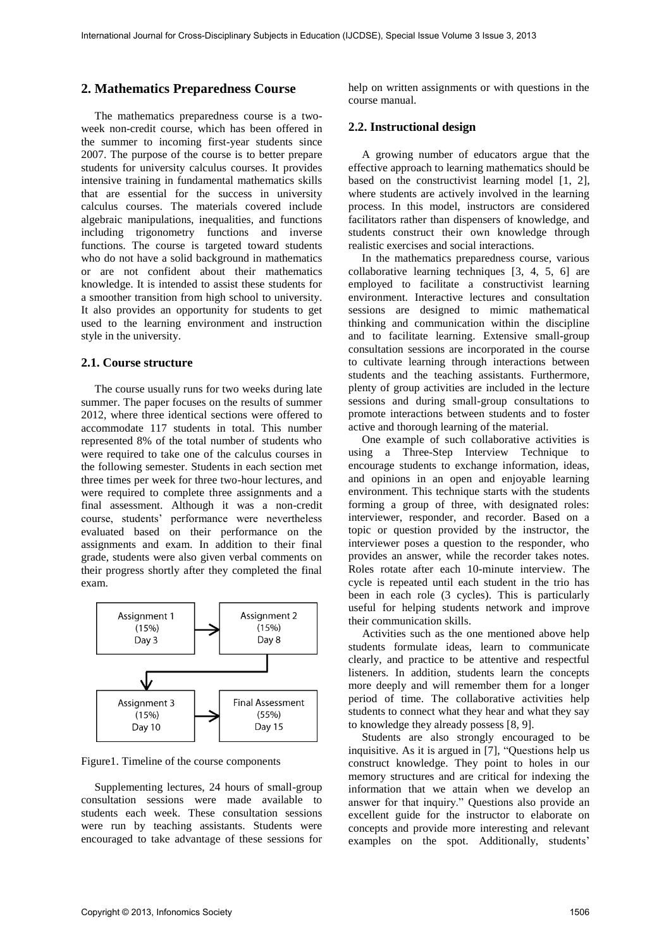### **2. Mathematics Preparedness Course**

The mathematics preparedness course is a twoweek non-credit course, which has been offered in the summer to incoming first-year students since 2007. The purpose of the course is to better prepare students for university calculus courses. It provides intensive training in fundamental mathematics skills that are essential for the success in university calculus courses. The materials covered include algebraic manipulations, inequalities, and functions including trigonometry functions and inverse functions. The course is targeted toward students who do not have a solid background in mathematics or are not confident about their mathematics knowledge. It is intended to assist these students for a smoother transition from high school to university. It also provides an opportunity for students to get used to the learning environment and instruction style in the university.

#### **2.1. Course structure**

The course usually runs for two weeks during late summer. The paper focuses on the results of summer 2012, where three identical sections were offered to accommodate 117 students in total. This number represented 8% of the total number of students who were required to take one of the calculus courses in the following semester. Students in each section met three times per week for three two-hour lectures, and were required to complete three assignments and a final assessment. Although it was a non-credit course, students' performance were nevertheless evaluated based on their performance on the assignments and exam. In addition to their final grade, students were also given verbal comments on their progress shortly after they completed the final exam.



Figure1. Timeline of the course components

Supplementing lectures, 24 hours of small-group consultation sessions were made available to students each week. These consultation sessions were run by teaching assistants. Students were encouraged to take advantage of these sessions for

help on written assignments or with questions in the course manual.

### **2.2. Instructional design**

A growing number of educators argue that the effective approach to learning mathematics should be based on the constructivist learning model [1, 2], where students are actively involved in the learning process. In this model, instructors are considered facilitators rather than dispensers of knowledge, and students construct their own knowledge through realistic exercises and social interactions.

In the mathematics preparedness course, various collaborative learning techniques [3, 4, 5, 6] are employed to facilitate a constructivist learning environment. Interactive lectures and consultation sessions are designed to mimic mathematical thinking and communication within the discipline and to facilitate learning. Extensive [small-group](http://www.utsc.utoronto.ca/~tlsweb/data_interpretation/lecture_notes.html)  [consultation](http://www.utsc.utoronto.ca/~tlsweb/data_interpretation/lecture_notes.html) sessions are incorporated in the course to cultivate learning through interactions between students and the teaching assistants. Furthermore, plenty of group activities are included in the lecture sessions and during small-group consultations to promote interactions between students and to foster active and thorough learning of the material.

One example of such collaborative activities is using a Three-Step Interview Technique to encourage students to exchange information, ideas, and opinions in an open and enjoyable learning environment. This technique starts with the students forming a group of three, with designated roles: interviewer, responder, and recorder. Based on a topic or question provided by the instructor, the interviewer poses a question to the responder, who provides an answer, while the recorder takes notes. Roles rotate after each 10-minute interview. The cycle is repeated until each student in the trio has been in each role (3 cycles). This is particularly useful for helping students network and improve their communication skills.

Activities such as the one mentioned above help students formulate ideas, learn to communicate clearly, and practice to be attentive and respectful listeners. In addition, students learn the concepts more deeply and will remember them for a longer period of time. The collaborative activities help students to connect what they hear and what they say to knowledge they already possess [8, 9].

Students are also strongly encouraged to be inquisitive. As it is argued in [7], "Questions help us construct knowledge. They point to holes in our memory structures and are critical for indexing the information that we attain when we develop an answer for that inquiry." Questions also provide an excellent guide for the instructor to elaborate on concepts and provide more interesting and relevant examples on the spot. Additionally, students'